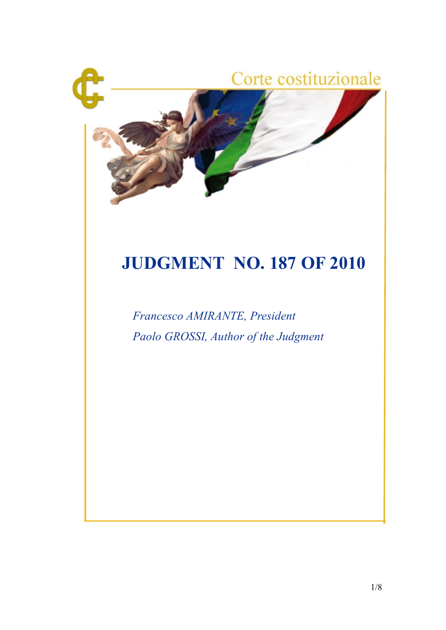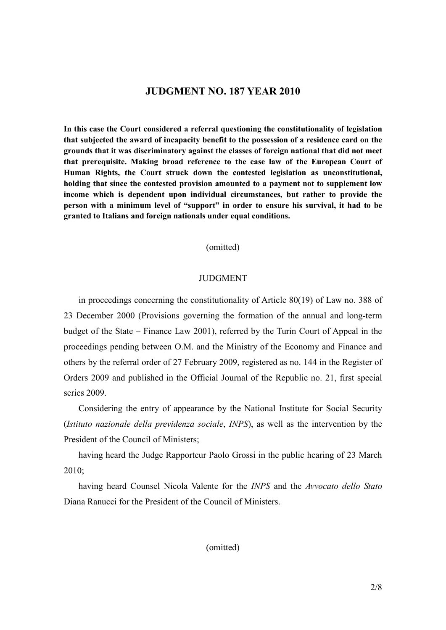# **JUDGMENT NO. 187 YEAR 2010**

**In this case the Court considered a referral questioning the constitutionality of legislation that subjected the award of incapacity benefit to the possession of a residence card on the grounds that it was discriminatory against the classes of foreign national that did not meet that prerequisite. Making broad reference to the case law of the European Court of Human Rights, the Court struck down the contested legislation as unconstitutional, holding that since the contested provision amounted to a payment not to supplement low income which is dependent upon individual circumstances, but rather to provide the person with a minimum level of "support" in order to ensure his survival, it had to be granted to Italians and foreign nationals under equal conditions.**

(omitted)

#### **JUDGMENT**

in proceedings concerning the constitutionality of Article 80(19) of Law no. 388 of 23 December 2000 (Provisions governing the formation of the annual and long-term budget of the State – Finance Law 2001), referred by the Turin Court of Appeal in the proceedings pending between O.M. and the Ministry of the Economy and Finance and others by the referral order of 27 February 2009, registered as no. 144 in the Register of Orders 2009 and published in the Official Journal of the Republic no. 21, first special series 2009.

Considering the entry of appearance by the National Institute for Social Security (*Istituto nazionale della previdenza sociale*, *INPS*), as well as the intervention by the President of the Council of Ministers;

having heard the Judge Rapporteur Paolo Grossi in the public hearing of 23 March 2010;

having heard Counsel Nicola Valente for the *INPS* and the *Avvocato dello Stato* Diana Ranucci for the President of the Council of Ministers.

(omitted)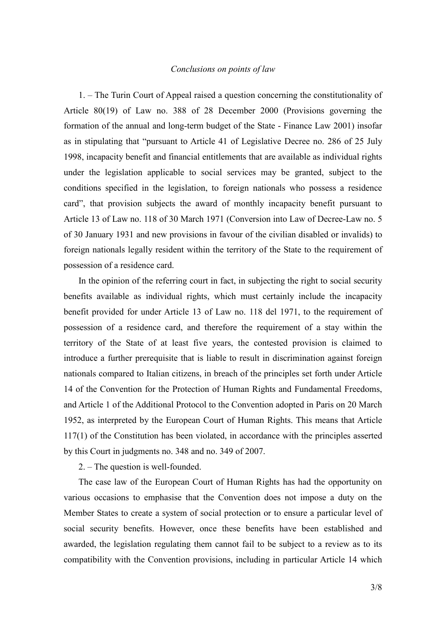### *Conclusions on points of law*

1. – The Turin Court of Appeal raised a question concerning the constitutionality of Article 80(19) of Law no. 388 of 28 December 2000 (Provisions governing the formation of the annual and long-term budget of the State - Finance Law 2001) insofar as in stipulating that "pursuant to Article 41 of Legislative Decree no. 286 of 25 July 1998, incapacity benefit and financial entitlements that are available as individual rights under the legislation applicable to social services may be granted, subject to the conditions specified in the legislation, to foreign nationals who possess a residence card", that provision subjects the award of monthly incapacity benefit pursuant to Article 13 of Law no. 118 of 30 March 1971 (Conversion into Law of Decree-Law no. 5 of 30 January 1931 and new provisions in favour of the civilian disabled or invalids) to foreign nationals legally resident within the territory of the State to the requirement of possession of a residence card.

In the opinion of the referring court in fact, in subjecting the right to social security benefits available as individual rights, which must certainly include the incapacity benefit provided for under Article 13 of Law no. 118 del 1971, to the requirement of possession of a residence card, and therefore the requirement of a stay within the territory of the State of at least five years, the contested provision is claimed to introduce a further prerequisite that is liable to result in discrimination against foreign nationals compared to Italian citizens, in breach of the principles set forth under Article 14 of the Convention for the Protection of Human Rights and Fundamental Freedoms, and Article 1 of the Additional Protocol to the Convention adopted in Paris on 20 March 1952, as interpreted by the European Court of Human Rights. This means that Article 117(1) of the Constitution has been violated, in accordance with the principles asserted by this Court in judgments no. 348 and no. 349 of 2007.

2. – The question is well-founded.

The case law of the European Court of Human Rights has had the opportunity on various occasions to emphasise that the Convention does not impose a duty on the Member States to create a system of social protection or to ensure a particular level of social security benefits. However, once these benefits have been established and awarded, the legislation regulating them cannot fail to be subject to a review as to its compatibility with the Convention provisions, including in particular Article 14 which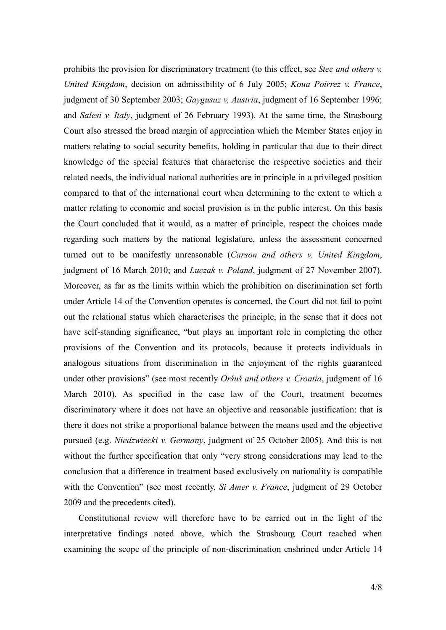prohibits the provision for discriminatory treatment (to this effect, see *Stec and others v. United Kingdom*, decision on admissibility of 6 July 2005; *Koua Poirrez v. France*, judgment of 30 September 2003; *Gaygusuz v. Austria*, judgment of 16 September 1996; and *Salesi v. Italy*, judgment of 26 February 1993). At the same time, the Strasbourg Court also stressed the broad margin of appreciation which the Member States enjoy in matters relating to social security benefits, holding in particular that due to their direct knowledge of the special features that characterise the respective societies and their related needs, the individual national authorities are in principle in a privileged position compared to that of the international court when determining to the extent to which a matter relating to economic and social provision is in the public interest. On this basis the Court concluded that it would, as a matter of principle, respect the choices made regarding such matters by the national legislature, unless the assessment concerned turned out to be manifestly unreasonable (*Carson and others v. United Kingdom*, judgment of 16 March 2010; and *Luczak v. Poland*, judgment of 27 November 2007). Moreover, as far as the limits within which the prohibition on discrimination set forth under Article 14 of the Convention operates is concerned, the Court did not fail to point out the relational status which characterises the principle, in the sense that it does not have self-standing significance, "but plays an important role in completing the other provisions of the Convention and its protocols, because it protects individuals in analogous situations from discrimination in the enjoyment of the rights guaranteed under other provisions" (see most recently *Oršuš and others v. Croatia*, judgment of 16 March 2010). As specified in the case law of the Court, treatment becomes discriminatory where it does not have an objective and reasonable justification: that is there it does not strike a proportional balance between the means used and the objective pursued (e.g. *Niedzwiecki v. Germany*, judgment of 25 October 2005). And this is not without the further specification that only "very strong considerations may lead to the conclusion that a difference in treatment based exclusively on nationality is compatible with the Convention" (see most recently, *Si Amer v. France*, judgment of 29 October 2009 and the precedents cited).

Constitutional review will therefore have to be carried out in the light of the interpretative findings noted above, which the Strasbourg Court reached when examining the scope of the principle of non-discrimination enshrined under Article 14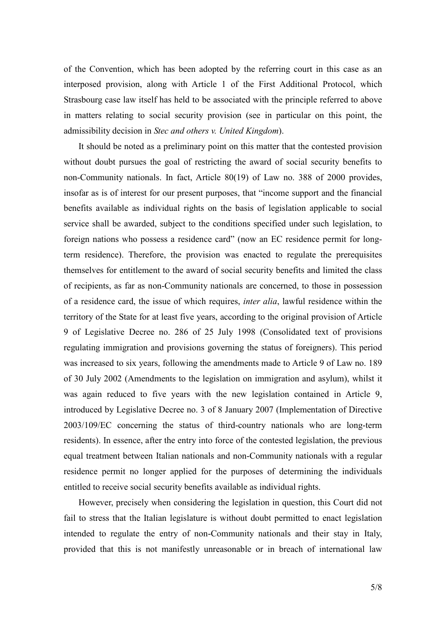of the Convention, which has been adopted by the referring court in this case as an interposed provision, along with Article 1 of the First Additional Protocol, which Strasbourg case law itself has held to be associated with the principle referred to above in matters relating to social security provision (see in particular on this point, the admissibility decision in *Stec and others v. United Kingdom*).

It should be noted as a preliminary point on this matter that the contested provision without doubt pursues the goal of restricting the award of social security benefits to non-Community nationals. In fact, Article 80(19) of Law no. 388 of 2000 provides, insofar as is of interest for our present purposes, that "income support and the financial benefits available as individual rights on the basis of legislation applicable to social service shall be awarded, subject to the conditions specified under such legislation, to foreign nations who possess a residence card" (now an EC residence permit for longterm residence). Therefore, the provision was enacted to regulate the prerequisites themselves for entitlement to the award of social security benefits and limited the class of recipients, as far as non-Community nationals are concerned, to those in possession of a residence card, the issue of which requires, *inter alia*, lawful residence within the territory of the State for at least five years, according to the original provision of Article 9 of Legislative Decree no. 286 of 25 July 1998 (Consolidated text of provisions regulating immigration and provisions governing the status of foreigners). This period was increased to six years, following the amendments made to Article 9 of Law no. 189 of 30 July 2002 (Amendments to the legislation on immigration and asylum), whilst it was again reduced to five years with the new legislation contained in Article 9, introduced by Legislative Decree no. 3 of 8 January 2007 (Implementation of Directive 2003/109/EC concerning the status of third-country nationals who are long-term residents). In essence, after the entry into force of the contested legislation, the previous equal treatment between Italian nationals and non-Community nationals with a regular residence permit no longer applied for the purposes of determining the individuals entitled to receive social security benefits available as individual rights.

However, precisely when considering the legislation in question, this Court did not fail to stress that the Italian legislature is without doubt permitted to enact legislation intended to regulate the entry of non-Community nationals and their stay in Italy, provided that this is not manifestly unreasonable or in breach of international law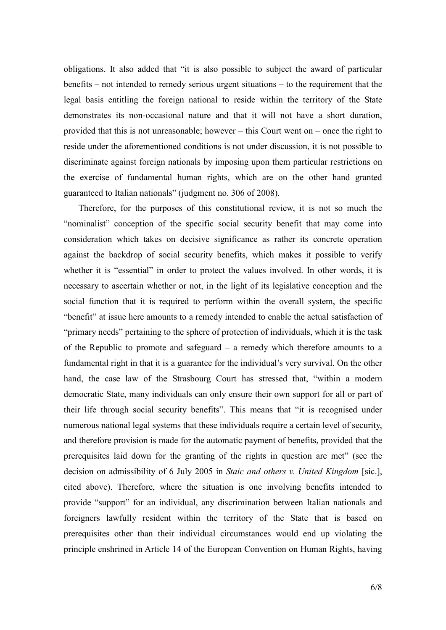obligations. It also added that "it is also possible to subject the award of particular benefits – not intended to remedy serious urgent situations – to the requirement that the legal basis entitling the foreign national to reside within the territory of the State demonstrates its non-occasional nature and that it will not have a short duration, provided that this is not unreasonable; however – this Court went on – once the right to reside under the aforementioned conditions is not under discussion, it is not possible to discriminate against foreign nationals by imposing upon them particular restrictions on the exercise of fundamental human rights, which are on the other hand granted guaranteed to Italian nationals" (judgment no. 306 of 2008).

Therefore, for the purposes of this constitutional review, it is not so much the "nominalist" conception of the specific social security benefit that may come into consideration which takes on decisive significance as rather its concrete operation against the backdrop of social security benefits, which makes it possible to verify whether it is "essential" in order to protect the values involved. In other words, it is necessary to ascertain whether or not, in the light of its legislative conception and the social function that it is required to perform within the overall system, the specific "benefit" at issue here amounts to a remedy intended to enable the actual satisfaction of "primary needs" pertaining to the sphere of protection of individuals, which it is the task of the Republic to promote and safeguard – a remedy which therefore amounts to a fundamental right in that it is a guarantee for the individual's very survival. On the other hand, the case law of the Strasbourg Court has stressed that, "within a modern democratic State, many individuals can only ensure their own support for all or part of their life through social security benefits". This means that "it is recognised under numerous national legal systems that these individuals require a certain level of security, and therefore provision is made for the automatic payment of benefits, provided that the prerequisites laid down for the granting of the rights in question are met" (see the decision on admissibility of 6 July 2005 in *Staic and others v. United Kingdom* [sic.], cited above). Therefore, where the situation is one involving benefits intended to provide "support" for an individual, any discrimination between Italian nationals and foreigners lawfully resident within the territory of the State that is based on prerequisites other than their individual circumstances would end up violating the principle enshrined in Article 14 of the European Convention on Human Rights, having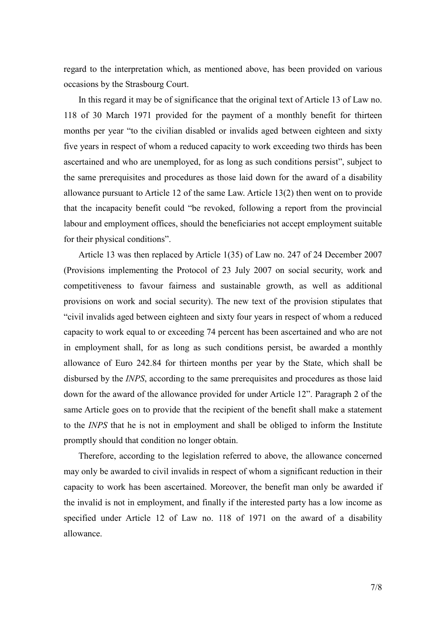regard to the interpretation which, as mentioned above, has been provided on various occasions by the Strasbourg Court.

In this regard it may be of significance that the original text of Article 13 of Law no. 118 of 30 March 1971 provided for the payment of a monthly benefit for thirteen months per year "to the civilian disabled or invalids aged between eighteen and sixty five years in respect of whom a reduced capacity to work exceeding two thirds has been ascertained and who are unemployed, for as long as such conditions persist", subject to the same prerequisites and procedures as those laid down for the award of a disability allowance pursuant to Article 12 of the same Law. Article 13(2) then went on to provide that the incapacity benefit could "be revoked, following a report from the provincial labour and employment offices, should the beneficiaries not accept employment suitable for their physical conditions".

Article 13 was then replaced by Article 1(35) of Law no. 247 of 24 December 2007 (Provisions implementing the Protocol of 23 July 2007 on social security, work and competitiveness to favour fairness and sustainable growth, as well as additional provisions on work and social security). The new text of the provision stipulates that "civil invalids aged between eighteen and sixty four years in respect of whom a reduced capacity to work equal to or exceeding 74 percent has been ascertained and who are not in employment shall, for as long as such conditions persist, be awarded a monthly allowance of Euro 242.84 for thirteen months per year by the State, which shall be disbursed by the *INPS*, according to the same prerequisites and procedures as those laid down for the award of the allowance provided for under Article 12". Paragraph 2 of the same Article goes on to provide that the recipient of the benefit shall make a statement to the *INPS* that he is not in employment and shall be obliged to inform the Institute promptly should that condition no longer obtain.

Therefore, according to the legislation referred to above, the allowance concerned may only be awarded to civil invalids in respect of whom a significant reduction in their capacity to work has been ascertained. Moreover, the benefit man only be awarded if the invalid is not in employment, and finally if the interested party has a low income as specified under Article 12 of Law no. 118 of 1971 on the award of a disability allowance.